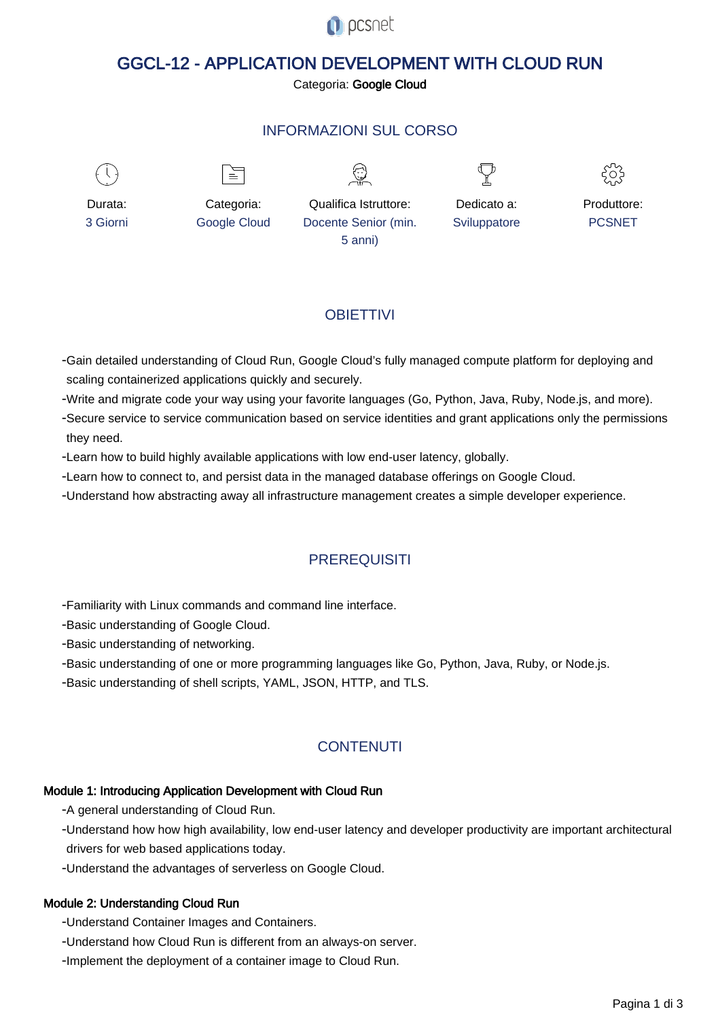

# GGCL-12 - APPLICATION DEVELOPMENT WITH CLOUD RUN

Categoria: Google Cloud

### INFORMAZIONI SUL CORSO



 $\equiv$ 





Durata: 3 Giorni

Categoria: Google Cloud

Qualifica Istruttore: Docente Senior (min. 5 anni)

Dedicato a: **Sviluppatore** 



# **OBIFTTIVI**

- Gain detailed understanding of Cloud Run, Google Cloud's fully managed compute platform for deploying and scaling containerized applications quickly and securely.

- Write and migrate code your way using your favorite languages (Go, Python, Java, Ruby, Node.js, and more).

- Secure service to service communication based on service identities and grant applications only the permissions they need.

- Learn how to build highly available applications with low end-user latency, globally.

- Learn how to connect to, and persist data in the managed database offerings on Google Cloud.

- Understand how abstracting away all infrastructure management creates a simple developer experience.

## **PREREQUISITI**

- Familiarity with Linux commands and command line interface.

- Basic understanding of Google Cloud.

- Basic understanding of networking.

- Basic understanding of one or more programming languages like Go, Python, Java, Ruby, or Node.js.

- Basic understanding of shell scripts, YAML, JSON, HTTP, and TLS.

## **CONTENUTI**

### Module 1: Introducing Application Development with Cloud Run

- A general understanding of Cloud Run.

- Understand how how high availability, low end-user latency and developer productivity are important architectural drivers for web based applications today.

- Understand the advantages of serverless on Google Cloud.

### Module 2: Understanding Cloud Run

- Understand Container Images and Containers.

- Understand how Cloud Run is different from an always-on server.

- Implement the deployment of a container image to Cloud Run.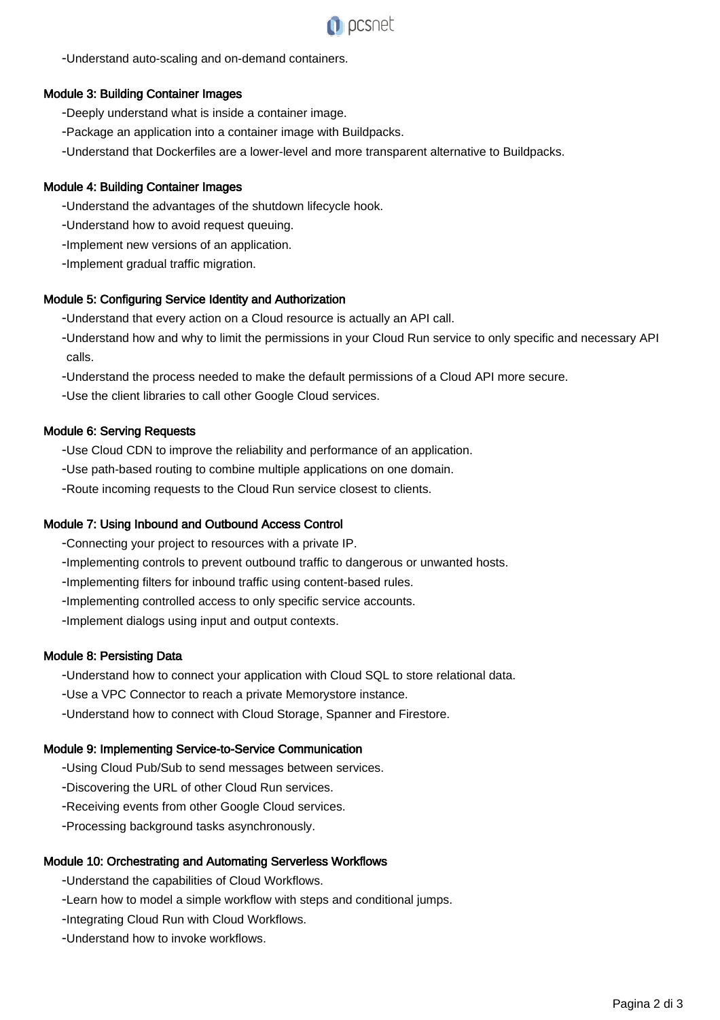

- Understand auto-scaling and on-demand containers.

#### Module 3: Building Container Images

- Deeply understand what is inside a container image.
- Package an application into a container image with Buildpacks.
- Understand that Dockerfiles are a lower-level and more transparent alternative to Buildpacks.

#### Module 4: Building Container Images

- Understand the advantages of the shutdown lifecycle hook.
- Understand how to avoid request queuing.
- Implement new versions of an application.
- Implement gradual traffic migration.

#### Module 5: Configuring Service Identity and Authorization

- Understand that every action on a Cloud resource is actually an API call.
- Understand how and why to limit the permissions in your Cloud Run service to only specific and necessary API calls.
- Understand the process needed to make the default permissions of a Cloud API more secure.
- Use the client libraries to call other Google Cloud services.

#### Module 6: Serving Requests

- Use Cloud CDN to improve the reliability and performance of an application.
- Use path-based routing to combine multiple applications on one domain.
- Route incoming requests to the Cloud Run service closest to clients.

#### Module 7: Using Inbound and Outbound Access Control

- Connecting your project to resources with a private IP.
- Implementing controls to prevent outbound traffic to dangerous or unwanted hosts.
- Implementing filters for inbound traffic using content-based rules.
- Implementing controlled access to only specific service accounts.
- Implement dialogs using input and output contexts.

#### Module 8: Persisting Data

- Understand how to connect your application with Cloud SQL to store relational data.
- Use a VPC Connector to reach a private Memorystore instance.
- Understand how to connect with Cloud Storage, Spanner and Firestore.

#### Module 9: Implementing Service-to-Service Communication

- Using Cloud Pub/Sub to send messages between services.
- Discovering the URL of other Cloud Run services.
- Receiving events from other Google Cloud services.
- Processing background tasks asynchronously.

#### Module 10: Orchestrating and Automating Serverless Workflows

- Understand the capabilities of Cloud Workflows.
- Learn how to model a simple workflow with steps and conditional jumps.
- Integrating Cloud Run with Cloud Workflows.
- Understand how to invoke workflows.